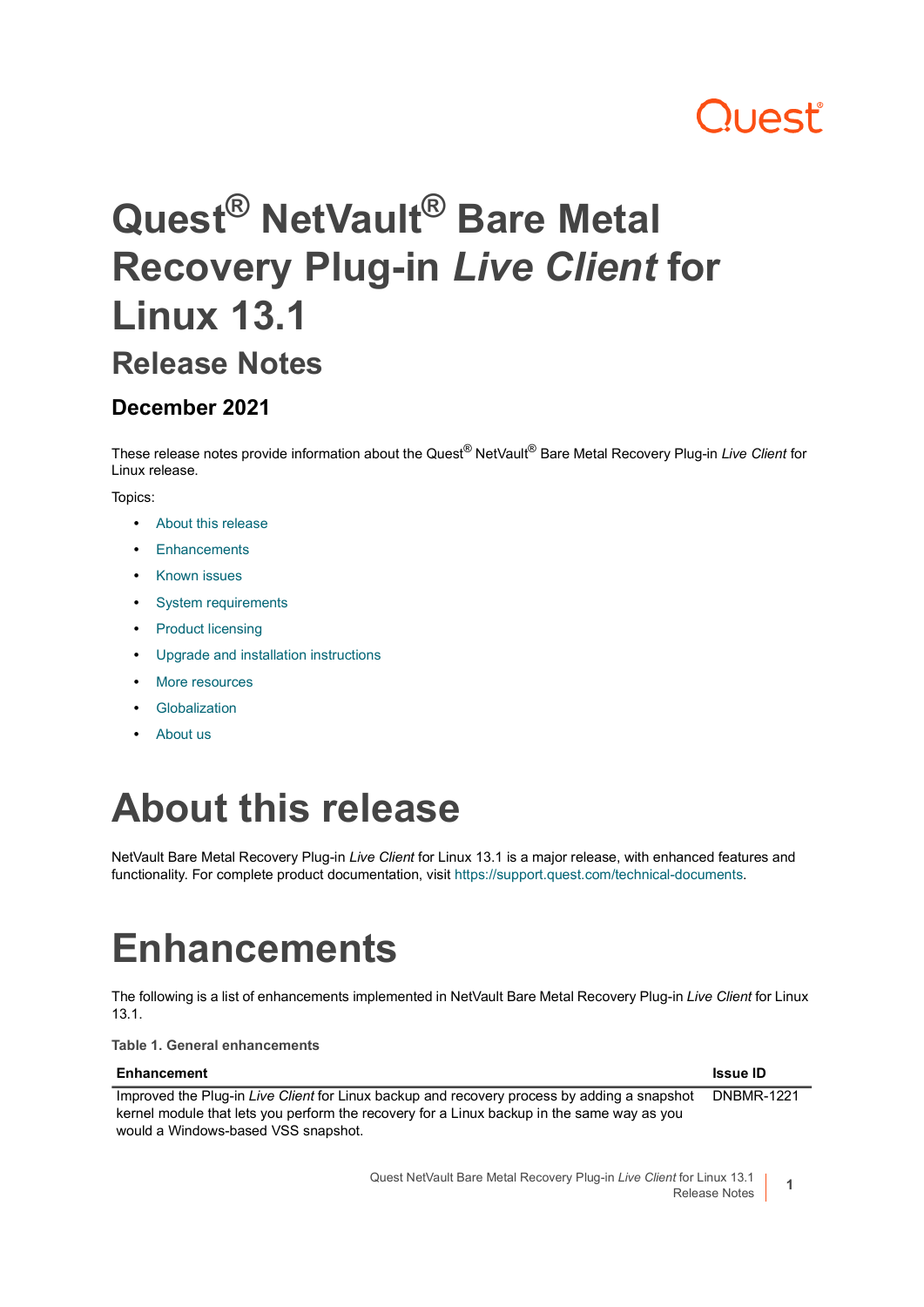# ו וAst

# **Quest® NetVault® Bare Metal Recovery Plug-in** *Live Client* **for Linux 13.1**

### **Release Notes**

#### **December 2021**

These release notes provide information about the Quest® NetVault® Bare Metal Recovery Plug-in *Live Client* for Linux release.

#### Topics:

- **•** [About this release](#page-0-0)
- **•** [Enhancements](#page-0-1)
- **•** [Known issues](#page-1-0)
- **•** [System requirements](#page-1-1)
- **•** [Product licensing](#page-1-2)
- **•** [Upgrade and installation instructions](#page-2-0)
- **•** [More resources](#page-2-1)
- **•** [Globalization](#page-2-2)
- **•** [About us](#page-2-3)

## <span id="page-0-0"></span>**About this release**

NetVault Bare Metal Recovery Plug-in *Live Client* for Linux 13.1 is a major release, with enhanced features and functionality. For complete product documentation, visit [https://support.quest.com/technical-documents.](https://support.quest.com/technical-documents)

# <span id="page-0-1"></span>**Enhancements**

The following is a list of enhancements implemented in NetVault Bare Metal Recovery Plug-in *Live Client* for Linux 13.1.

**Table 1. General enhancements**

| Enhancement                                                                                                                                                                                                                      | <b>Issue ID</b>   |
|----------------------------------------------------------------------------------------------------------------------------------------------------------------------------------------------------------------------------------|-------------------|
| Improved the Plug-in Live Client for Linux backup and recovery process by adding a snapshot<br>kernel module that lets you perform the recovery for a Linux backup in the same way as you<br>would a Windows-based VSS snapshot. | <b>DNBMR-1221</b> |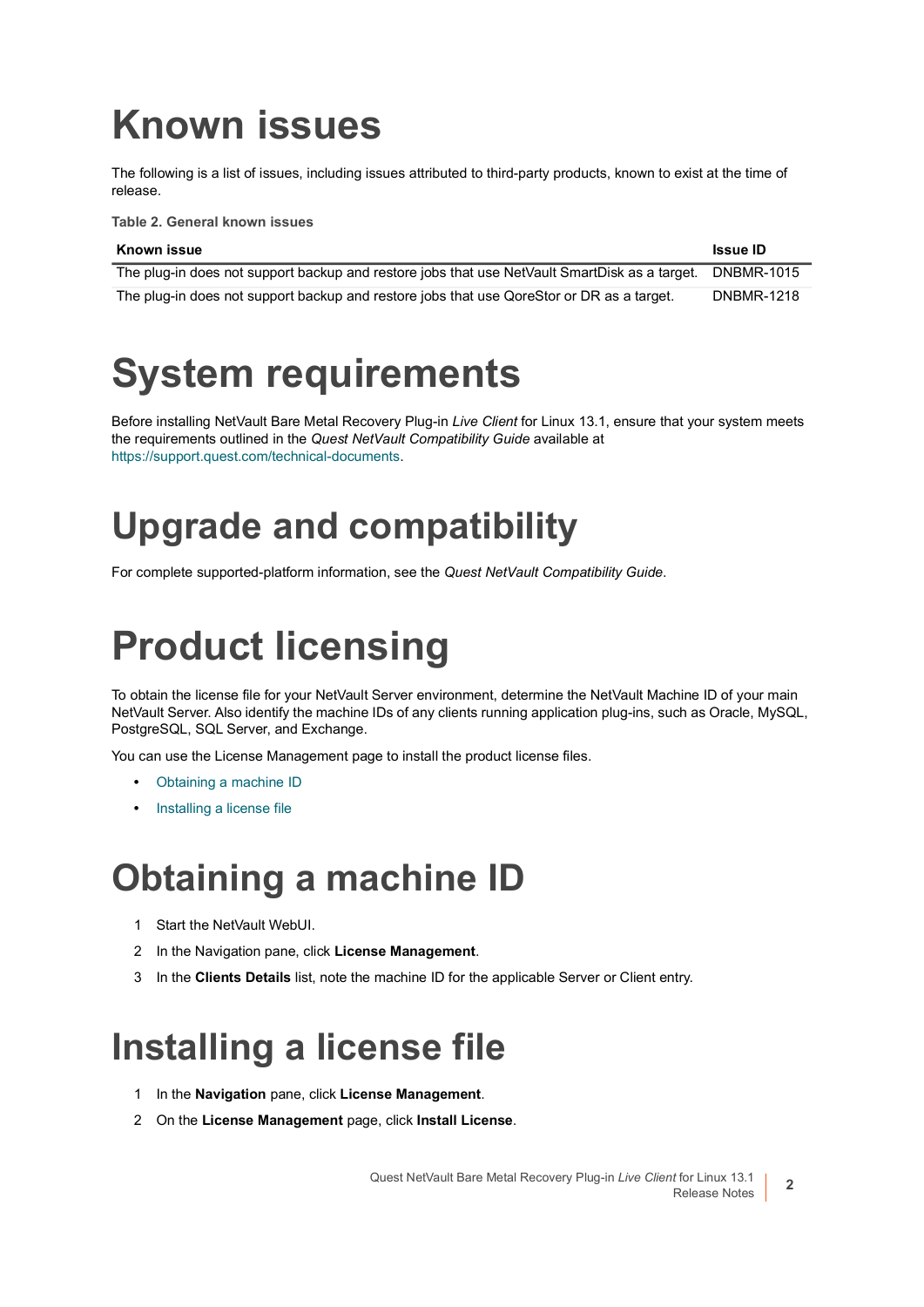# <span id="page-1-0"></span>**Known issues**

The following is a list of issues, including issues attributed to third-party products, known to exist at the time of release.

**Table 2. General known issues**

| Known issue                                                                                   | <b>Issue ID</b>   |
|-----------------------------------------------------------------------------------------------|-------------------|
| The plug-in does not support backup and restore jobs that use NetVault SmartDisk as a target. | DNBMR-1015        |
| The plug-in does not support backup and restore jobs that use QoreStor or DR as a target.     | <b>DNBMR-1218</b> |

## <span id="page-1-1"></span>**System requirements**

Before installing NetVault Bare Metal Recovery Plug-in *Live Client* for Linux 13.1, ensure that your system meets the requirements outlined in the *Quest NetVault Compatibility Guide* available at [https://support.quest.com/technical-documents.](https://support.quest.com/technical-documents)

## **Upgrade and compatibility**

For complete supported-platform information, see the *Quest NetVault Compatibility Guide*.

# <span id="page-1-2"></span>**Product licensing**

To obtain the license file for your NetVault Server environment, determine the NetVault Machine ID of your main NetVault Server. Also identify the machine IDs of any clients running application plug-ins, such as Oracle, MySQL, PostgreSQL, SQL Server, and Exchange.

You can use the License Management page to install the product license files.

- **•** [Obtaining a machine ID](#page-1-3)
- **•** [Installing a license file](#page-1-4)

### <span id="page-1-3"></span>**Obtaining a machine ID**

- 1 Start the NetVault WebUI.
- 2 In the Navigation pane, click **License Management**.
- 3 In the **Clients Details** list, note the machine ID for the applicable Server or Client entry.

### <span id="page-1-4"></span>**Installing a license file**

- 1 In the **Navigation** pane, click **License Management**.
- 2 On the **License Management** page, click **Install License**.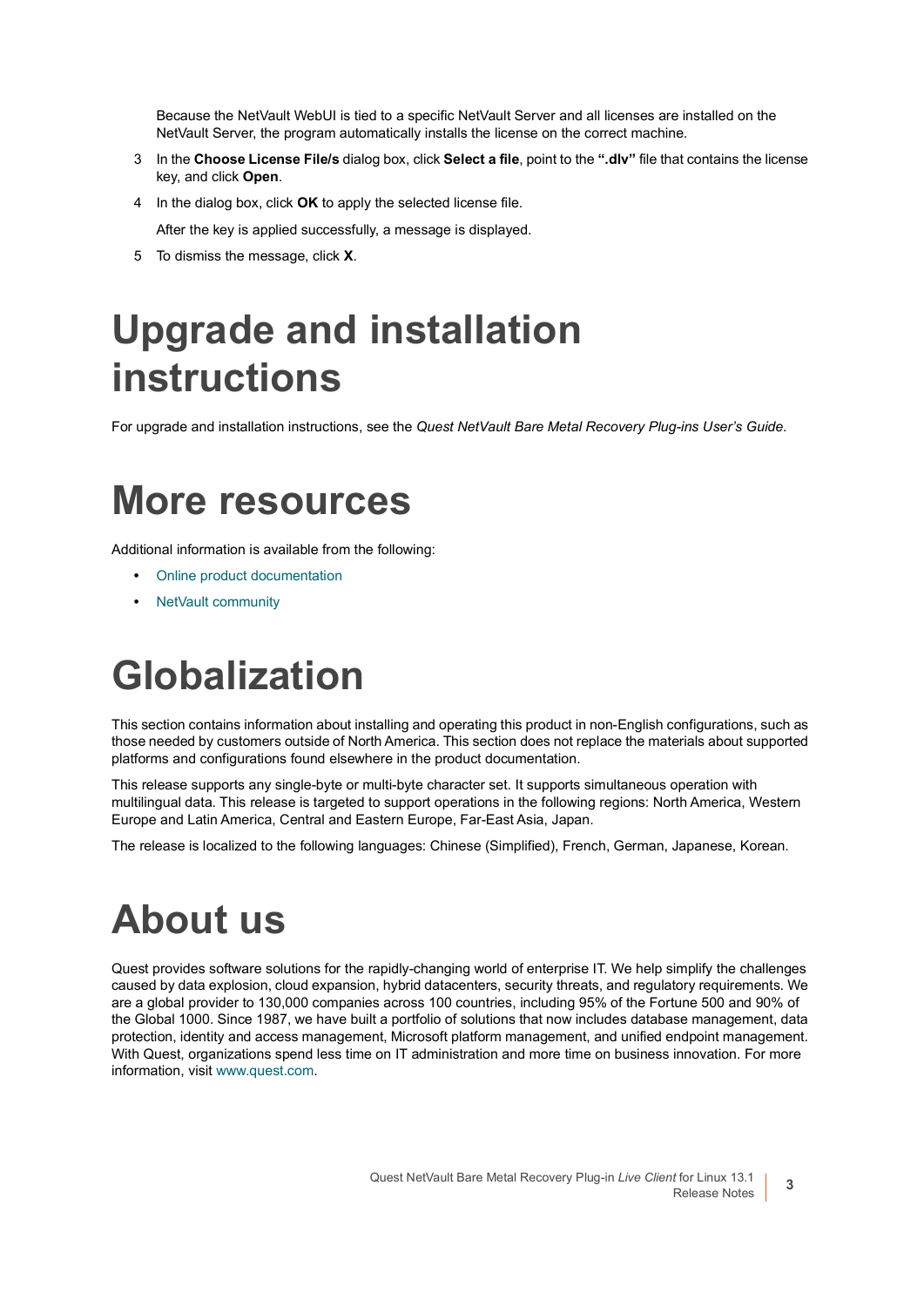Because the NetVault WebUI is tied to a specific NetVault Server and all licenses are installed on the NetVault Server, the program automatically installs the license on the correct machine.

- 3 In the **Choose License File/s** dialog box, click **Select a file**, point to the **".dlv"** file that contains the license key, and click **Open**.
- 4 In the dialog box, click **OK** to apply the selected license file.

After the key is applied successfully, a message is displayed.

5 To dismiss the message, click **X**.

# <span id="page-2-0"></span>**Upgrade and installation instructions**

For upgrade and installation instructions, see the *Quest NetVault Bare Metal Recovery Plug-ins User's Guide*.

### <span id="page-2-1"></span>**More resources**

Additional information is available from the following:

- **•** [Online product documentation](https://support.quest.com/technical-documents/)
- **•** [NetVault community](https://www.quest.com/community/products/netvault/)

# <span id="page-2-2"></span>**Globalization**

This section contains information about installing and operating this product in non-English configurations, such as those needed by customers outside of North America. This section does not replace the materials about supported platforms and configurations found elsewhere in the product documentation.

This release supports any single-byte or multi-byte character set. It supports simultaneous operation with multilingual data. This release is targeted to support operations in the following regions: North America, Western Europe and Latin America, Central and Eastern Europe, Far-East Asia, Japan.

The release is localized to the following languages: Chinese (Simplified), French, German, Japanese, Korean.

# <span id="page-2-3"></span>**About us**

Quest provides software solutions for the rapidly-changing world of enterprise IT. We help simplify the challenges caused by data explosion, cloud expansion, hybrid datacenters, security threats, and regulatory requirements. We are a global provider to 130,000 companies across 100 countries, including 95% of the Fortune 500 and 90% of the Global 1000. Since 1987, we have built a portfolio of solutions that now includes database management, data protection, identity and access management, Microsoft platform management, and unified endpoint management. With Quest, organizations spend less time on IT administration and more time on business innovation. For more information, visit [www.quest.com](https://www.quest.com/company/contact-us.aspx).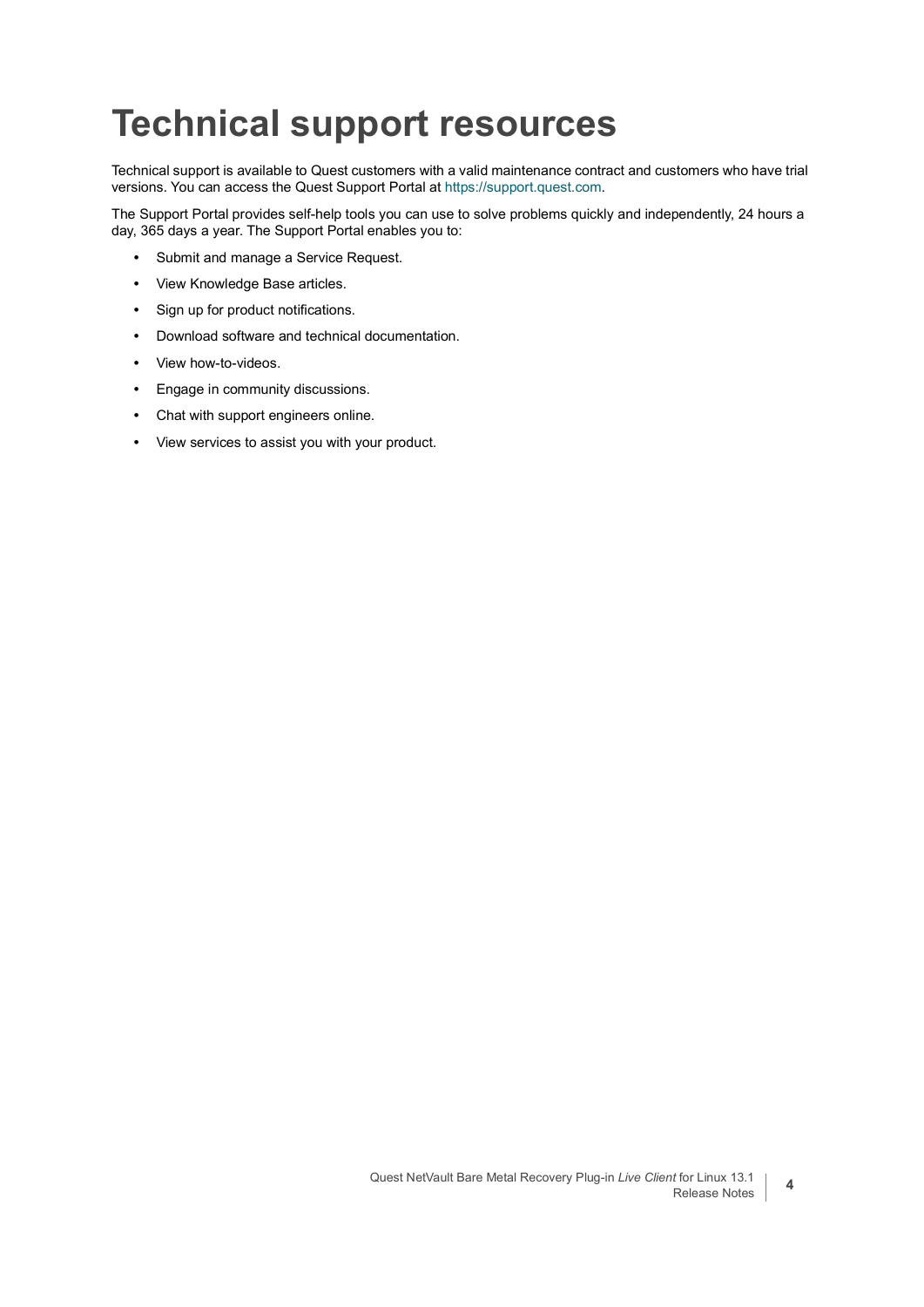### **Technical support resources**

Technical support is available to Quest customers with a valid maintenance contract and customers who have trial versions. You can access the Quest Support Portal at [https://support.quest.com.](https://support.quest.com)

The Support Portal provides self-help tools you can use to solve problems quickly and independently, 24 hours a day, 365 days a year. The Support Portal enables you to:

- **•** Submit and manage a Service Request.
- **•** View Knowledge Base articles.
- **•** Sign up for product notifications.
- **•** Download software and technical documentation.
- **•** View how-to-videos.
- **•** Engage in community discussions.
- **•** Chat with support engineers online.
- **•** View services to assist you with your product.